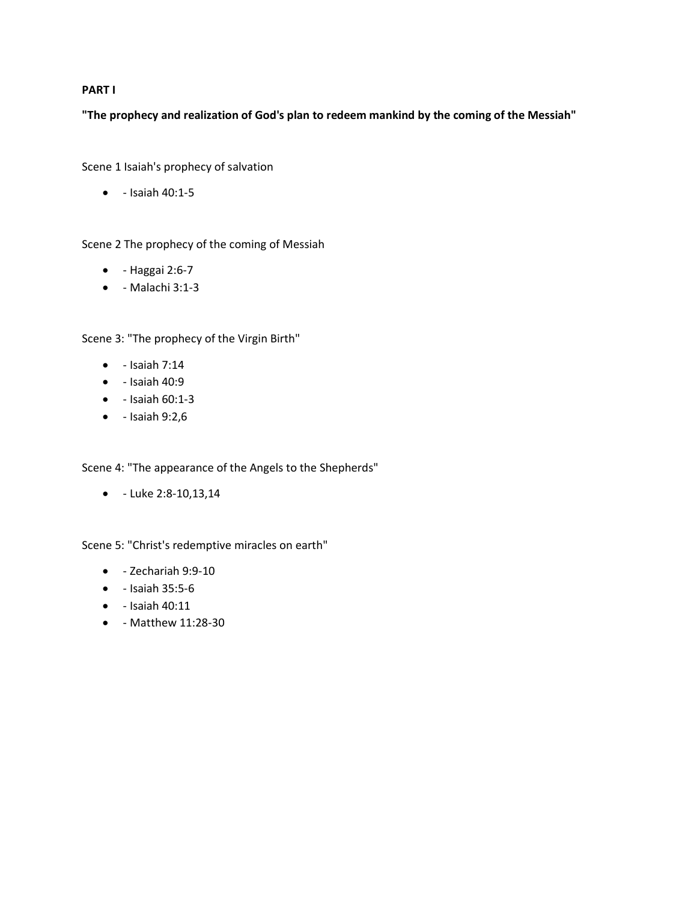## **PART I**

**"The prophecy and realization of God's plan to redeem mankind by the coming of the Messiah"**

Scene 1 Isaiah's prophecy of salvation

• - Isaiah 40:1-5

Scene 2 The prophecy of the coming of Messiah

- - Haggai 2:6-7
- - Malachi 3:1-3

Scene 3: "The prophecy of the Virgin Birth"

- $\bullet$  Isaiah 7:14
- $\bullet$  Isaiah 40:9
- - Isaiah 60:1-3
- $\bullet$  Isaiah 9:2,6

Scene 4: "The appearance of the Angels to the Shepherds"

• - Luke 2:8-10,13,14

Scene 5: "Christ's redemptive miracles on earth"

- - Zechariah 9:9-10
- - Isaiah 35:5-6
- - Isaiah 40:11
- - Matthew 11:28-30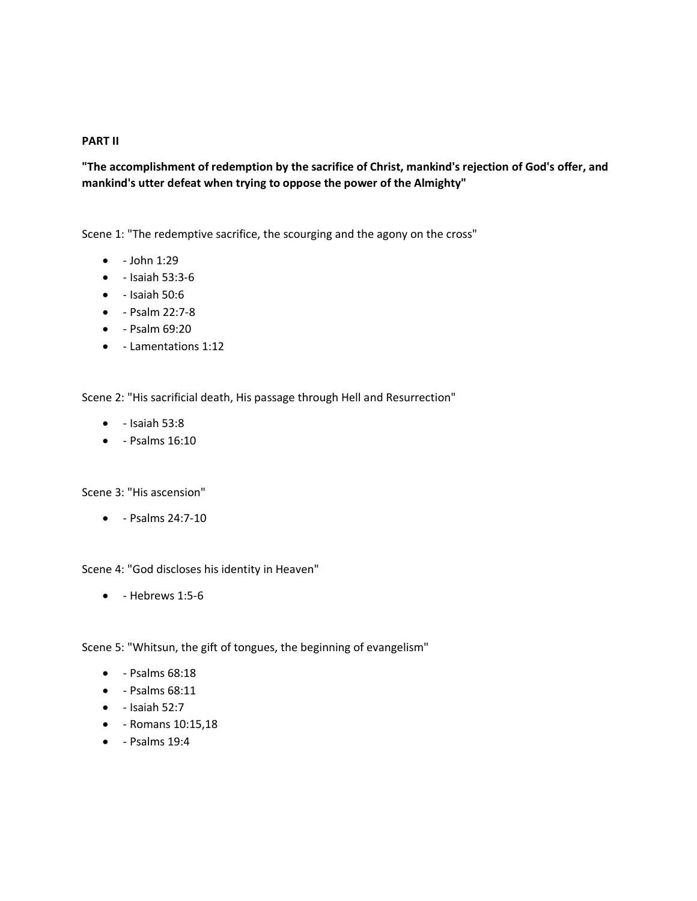## **PART II**

**"The accomplishment of redemption by the sacrifice of Christ, mankind's rejection of God's offer, and mankind's utter defeat when trying to oppose the power of the Almighty"**

Scene 1: "The redemptive sacrifice, the scourging and the agony on the cross"

- $\bullet$  John 1:29
- - Isaiah 53:3-6
- $\bullet$  Isaiah 50:6
- - Psalm 22:7-8
- - Psalm 69:20
- - Lamentations 1:12

Scene 2: "His sacrificial death, His passage through Hell and Resurrection"

- $\bullet$  Isaiah 53:8
- - Psalms 16:10

Scene 3: "His ascension"

• - Psalms 24:7-10

Scene 4: "God discloses his identity in Heaven"

 $\bullet$  - Hebrews 1:5-6

Scene 5: "Whitsun, the gift of tongues, the beginning of evangelism"

- - Psalms 68:18
- - Psalms 68:11
- $\bullet$  Isaiah 52:7
- - Romans 10:15,18
- $\bullet$  Psalms 19:4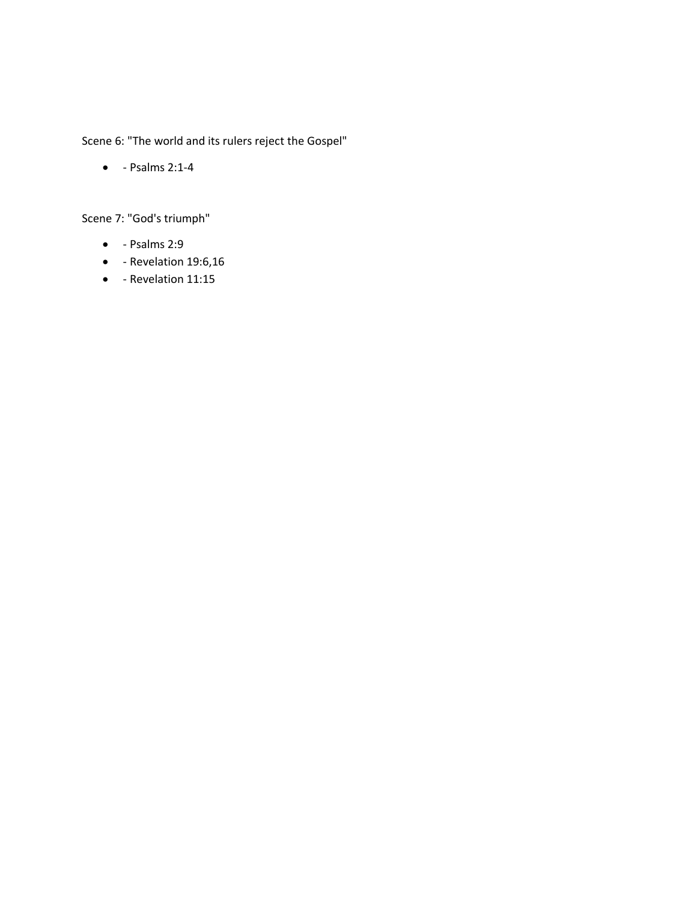Scene 6: "The world and its rulers reject the Gospel"

• - Psalms 2:1-4

Scene 7: "God's triumph"

- - Psalms 2:9
- - Revelation 19:6,16
- - Revelation 11:15